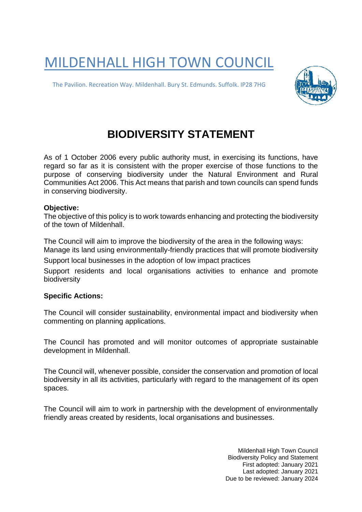## MILDENHALL HIGH TOWN COUNCIL

The Pavilion. Recreation Way. Mildenhall. Bury St. Edmunds. Suffolk. IP28 7HG



## **BIODIVERSITY STATEMENT**

As of 1 October 2006 every public authority must, in exercising its functions, have regard so far as it is consistent with the proper exercise of those functions to the purpose of conserving biodiversity under the Natural Environment and Rural Communities Act 2006. This Act means that parish and town councils can spend funds in conserving biodiversity.

## **Objective:**

The objective of this policy is to work towards enhancing and protecting the biodiversity of the town of Mildenhall.

The Council will aim to improve the biodiversity of the area in the following ways: Manage its land using environmentally-friendly practices that will promote biodiversity

Support local businesses in the adoption of low impact practices

Support residents and local organisations activities to enhance and promote biodiversity

## **Specific Actions:**

The Council will consider sustainability, environmental impact and biodiversity when commenting on planning applications.

The Council has promoted and will monitor outcomes of appropriate sustainable development in Mildenhall.

The Council will, whenever possible, consider the conservation and promotion of local biodiversity in all its activities, particularly with regard to the management of its open spaces.

The Council will aim to work in partnership with the development of environmentally friendly areas created by residents, local organisations and businesses.

> Mildenhall High Town Council Biodiversity Policy and Statement First adopted: January 2021 Last adopted: January 2021 Due to be reviewed: January 2024